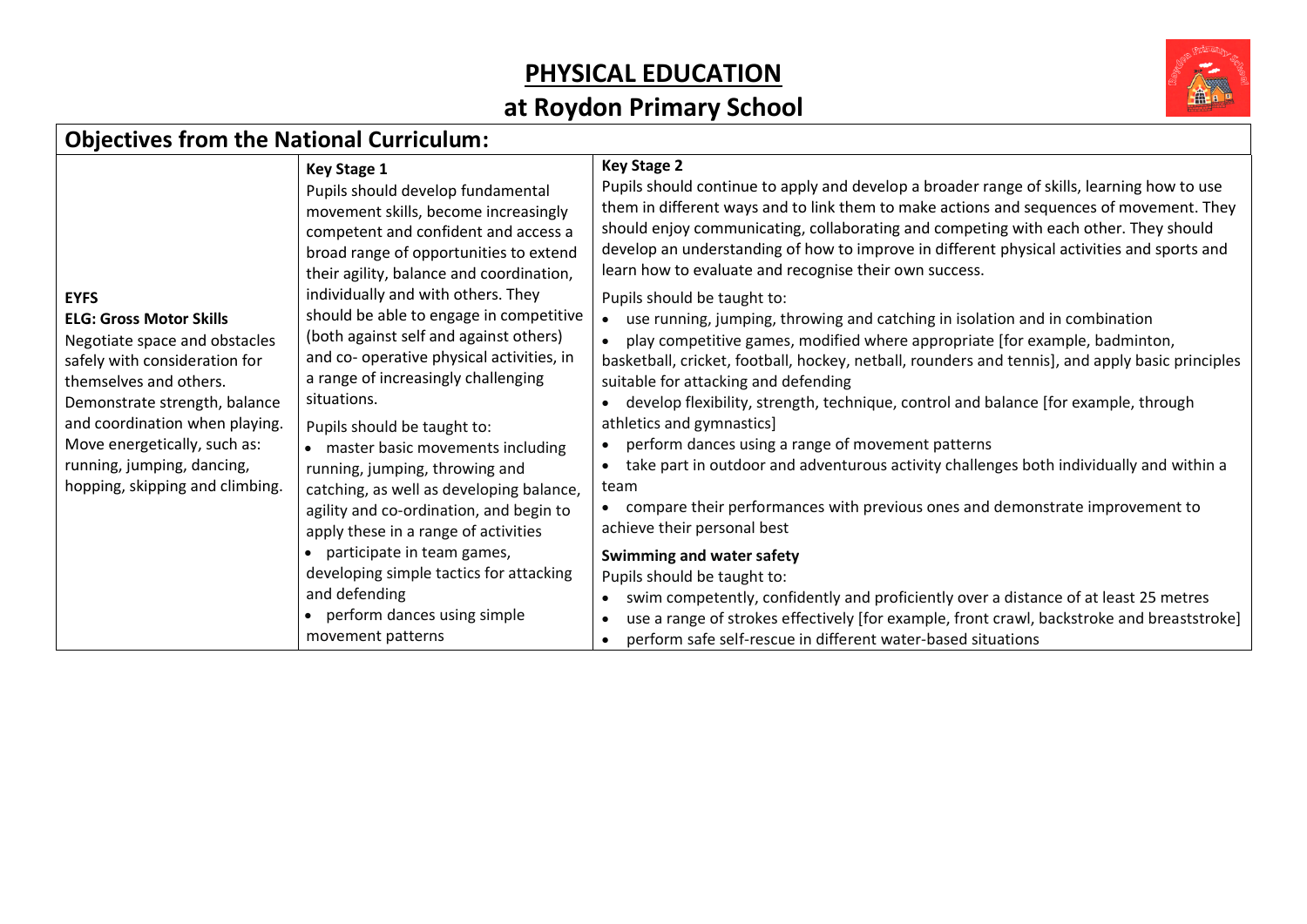## **PHYSICAL EDUCATION**

## **at Roydon Primary School**



## **Objectives from the National Curriculum:**

|                                                         | <b>Key Stage 1</b>                                                                  | <b>Key Stage 2</b>                                                                                                                       |
|---------------------------------------------------------|-------------------------------------------------------------------------------------|------------------------------------------------------------------------------------------------------------------------------------------|
|                                                         | Pupils should develop fundamental                                                   | Pupils should continue to apply and develop a broader range of skills, learning how to use                                               |
|                                                         | movement skills, become increasingly                                                | them in different ways and to link them to make actions and sequences of movement. They                                                  |
|                                                         | competent and confident and access a                                                | should enjoy communicating, collaborating and competing with each other. They should                                                     |
|                                                         | broad range of opportunities to extend                                              | develop an understanding of how to improve in different physical activities and sports and                                               |
|                                                         | their agility, balance and coordination,                                            | learn how to evaluate and recognise their own success.                                                                                   |
| <b>EYFS</b>                                             | individually and with others. They                                                  | Pupils should be taught to:                                                                                                              |
| <b>ELG: Gross Motor Skills</b>                          | should be able to engage in competitive                                             | use running, jumping, throwing and catching in isolation and in combination<br>$\bullet$                                                 |
| Negotiate space and obstacles                           | (both against self and against others)<br>and co- operative physical activities, in | play competitive games, modified where appropriate [for example, badminton,                                                              |
| safely with consideration for<br>themselves and others. | a range of increasingly challenging                                                 | basketball, cricket, football, hockey, netball, rounders and tennis], and apply basic principles<br>suitable for attacking and defending |
| Demonstrate strength, balance                           | situations.                                                                         | develop flexibility, strength, technique, control and balance [for example, through                                                      |
| and coordination when playing.                          |                                                                                     | athletics and gymnastics]                                                                                                                |
| Move energetically, such as:                            | Pupils should be taught to:<br>• master basic movements including                   | perform dances using a range of movement patterns                                                                                        |
| running, jumping, dancing,                              | running, jumping, throwing and                                                      | take part in outdoor and adventurous activity challenges both individually and within a<br>$\bullet$                                     |
| hopping, skipping and climbing.                         | catching, as well as developing balance,                                            | team                                                                                                                                     |
|                                                         | agility and co-ordination, and begin to                                             | compare their performances with previous ones and demonstrate improvement to                                                             |
|                                                         | apply these in a range of activities                                                | achieve their personal best                                                                                                              |
|                                                         | participate in team games,                                                          | Swimming and water safety                                                                                                                |
|                                                         | developing simple tactics for attacking                                             | Pupils should be taught to:                                                                                                              |
|                                                         | and defending                                                                       | swim competently, confidently and proficiently over a distance of at least 25 metres                                                     |
|                                                         | • perform dances using simple                                                       | use a range of strokes effectively [for example, front crawl, backstroke and breaststroke]<br>$\bullet$                                  |
|                                                         | movement patterns                                                                   | perform safe self-rescue in different water-based situations<br>$\bullet$                                                                |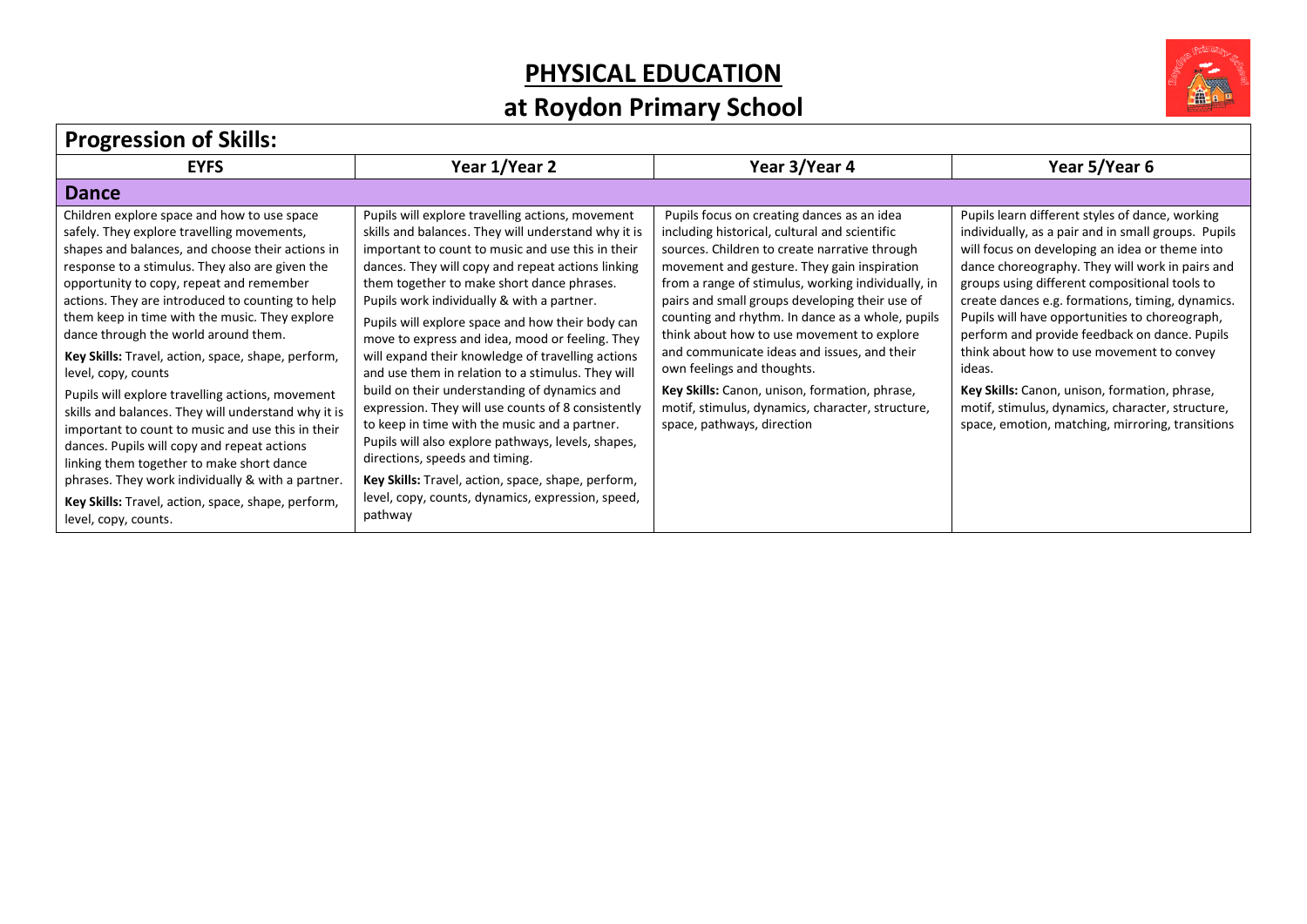## **PHYSICAL EDUCATION**

## **at Roydon Primary School**



| <b>Progression of Skills:</b> |
|-------------------------------|
|-------------------------------|

| <b>EYFS</b>                                                                                                                                                                                                                                                                                                                                                                                                                                                                                                                                                                                                                                                                                                                                                                                                                                                            | Year 1/Year 2                                                                                                                                                                                                                                                                                                                                                                                                                                                                                                                                                                                                                                                                                                                                                                                                                                                                                       | Year 3/Year 4                                                                                                                                                                                                                                                                                                                                                                                                                                                                                                                                                                                                         | Year 5/Year 6                                                                                                                                                                                                                                                                                                                                                                                                                                                                                                                                                                                                                       |  |
|------------------------------------------------------------------------------------------------------------------------------------------------------------------------------------------------------------------------------------------------------------------------------------------------------------------------------------------------------------------------------------------------------------------------------------------------------------------------------------------------------------------------------------------------------------------------------------------------------------------------------------------------------------------------------------------------------------------------------------------------------------------------------------------------------------------------------------------------------------------------|-----------------------------------------------------------------------------------------------------------------------------------------------------------------------------------------------------------------------------------------------------------------------------------------------------------------------------------------------------------------------------------------------------------------------------------------------------------------------------------------------------------------------------------------------------------------------------------------------------------------------------------------------------------------------------------------------------------------------------------------------------------------------------------------------------------------------------------------------------------------------------------------------------|-----------------------------------------------------------------------------------------------------------------------------------------------------------------------------------------------------------------------------------------------------------------------------------------------------------------------------------------------------------------------------------------------------------------------------------------------------------------------------------------------------------------------------------------------------------------------------------------------------------------------|-------------------------------------------------------------------------------------------------------------------------------------------------------------------------------------------------------------------------------------------------------------------------------------------------------------------------------------------------------------------------------------------------------------------------------------------------------------------------------------------------------------------------------------------------------------------------------------------------------------------------------------|--|
| <b>Dance</b>                                                                                                                                                                                                                                                                                                                                                                                                                                                                                                                                                                                                                                                                                                                                                                                                                                                           |                                                                                                                                                                                                                                                                                                                                                                                                                                                                                                                                                                                                                                                                                                                                                                                                                                                                                                     |                                                                                                                                                                                                                                                                                                                                                                                                                                                                                                                                                                                                                       |                                                                                                                                                                                                                                                                                                                                                                                                                                                                                                                                                                                                                                     |  |
| Children explore space and how to use space<br>safely. They explore travelling movements,<br>shapes and balances, and choose their actions in<br>response to a stimulus. They also are given the<br>opportunity to copy, repeat and remember<br>actions. They are introduced to counting to help<br>them keep in time with the music. They explore<br>dance through the world around them.<br>Key Skills: Travel, action, space, shape, perform,<br>level, copy, counts<br>Pupils will explore travelling actions, movement<br>skills and balances. They will understand why it is<br>important to count to music and use this in their<br>dances. Pupils will copy and repeat actions<br>linking them together to make short dance<br>phrases. They work individually & with a partner.<br>Key Skills: Travel, action, space, shape, perform,<br>level, copy, counts. | Pupils will explore travelling actions, movement<br>skills and balances. They will understand why it is<br>important to count to music and use this in their<br>dances. They will copy and repeat actions linking<br>them together to make short dance phrases.<br>Pupils work individually & with a partner.<br>Pupils will explore space and how their body can<br>move to express and idea, mood or feeling. They<br>will expand their knowledge of travelling actions<br>and use them in relation to a stimulus. They will<br>build on their understanding of dynamics and<br>expression. They will use counts of 8 consistently<br>to keep in time with the music and a partner.<br>Pupils will also explore pathways, levels, shapes,<br>directions, speeds and timing.<br>Key Skills: Travel, action, space, shape, perform,<br>level, copy, counts, dynamics, expression, speed,<br>pathway | Pupils focus on creating dances as an idea<br>including historical, cultural and scientific<br>sources. Children to create narrative through<br>movement and gesture. They gain inspiration<br>from a range of stimulus, working individually, in<br>pairs and small groups developing their use of<br>counting and rhythm. In dance as a whole, pupils<br>think about how to use movement to explore<br>and communicate ideas and issues, and their<br>own feelings and thoughts.<br>Key Skills: Canon, unison, formation, phrase,<br>motif, stimulus, dynamics, character, structure,<br>space, pathways, direction | Pupils learn different styles of dance, working<br>individually, as a pair and in small groups. Pupils<br>will focus on developing an idea or theme into<br>dance choreography. They will work in pairs and<br>groups using different compositional tools to<br>create dances e.g. formations, timing, dynamics.<br>Pupils will have opportunities to choreograph,<br>perform and provide feedback on dance. Pupils<br>think about how to use movement to convey<br>ideas.<br>Key Skills: Canon, unison, formation, phrase,<br>motif, stimulus, dynamics, character, structure,<br>space, emotion, matching, mirroring, transitions |  |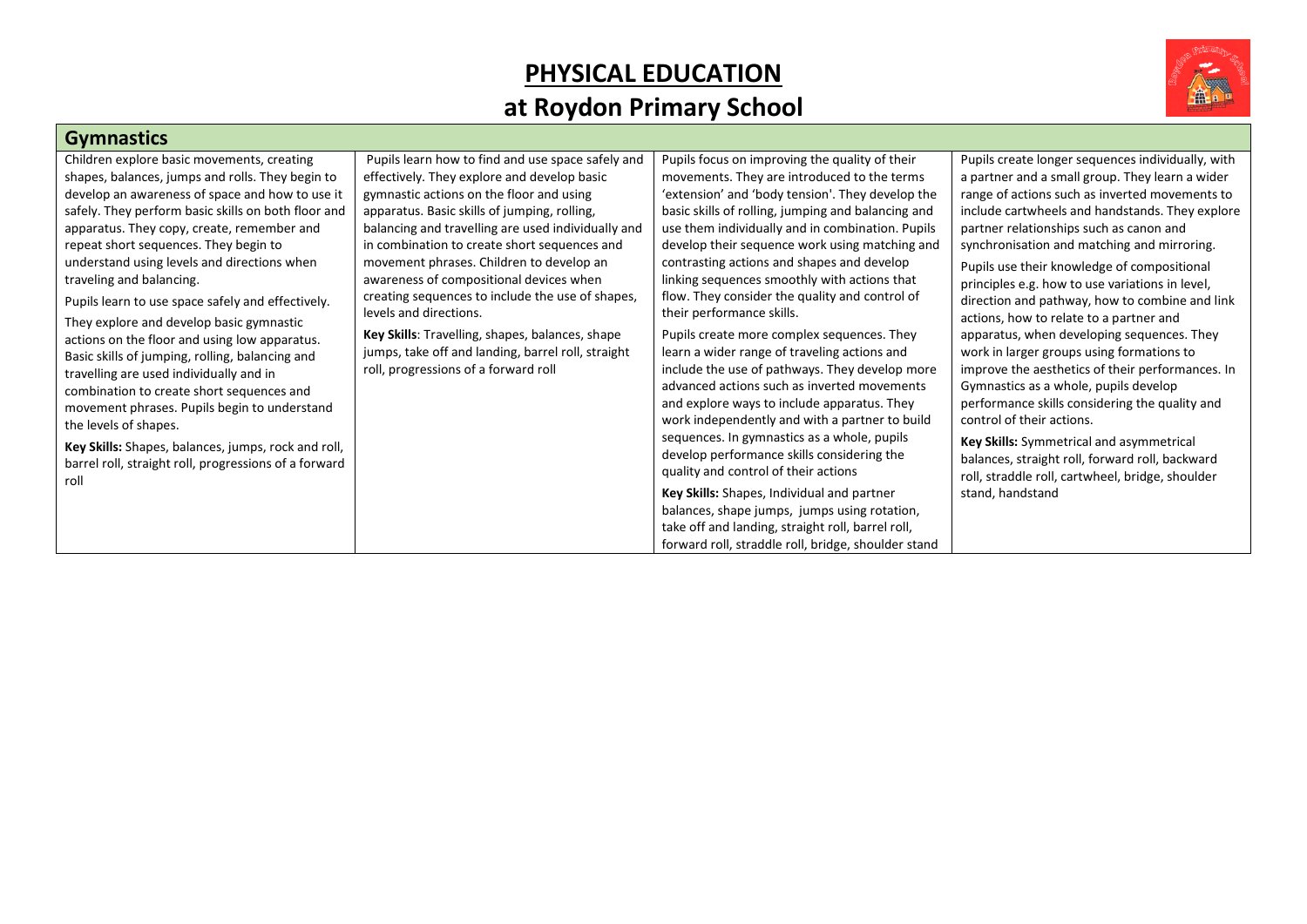## **PHYSICAL EDUCATION at Roydon Primary School**



#### **Gymnastics**

| Children explore basic movements, creating            | Pupils learn how to find and use space safely and  | Pupils focus on improving the quality of their      | Pupils create longer sequences individually, with |
|-------------------------------------------------------|----------------------------------------------------|-----------------------------------------------------|---------------------------------------------------|
| shapes, balances, jumps and rolls. They begin to      | effectively. They explore and develop basic        | movements. They are introduced to the terms         | a partner and a small group. They learn a wider   |
| develop an awareness of space and how to use it       | gymnastic actions on the floor and using           | 'extension' and 'body tension'. They develop the    | range of actions such as inverted movements to    |
| safely. They perform basic skills on both floor and   | apparatus. Basic skills of jumping, rolling,       | basic skills of rolling, jumping and balancing and  | include cartwheels and handstands. They explore   |
| apparatus. They copy, create, remember and            | balancing and travelling are used individually and | use them individually and in combination. Pupils    | partner relationships such as canon and           |
| repeat short sequences. They begin to                 | in combination to create short sequences and       | develop their sequence work using matching and      | synchronisation and matching and mirroring.       |
| understand using levels and directions when           | movement phrases. Children to develop an           | contrasting actions and shapes and develop          | Pupils use their knowledge of compositional       |
| traveling and balancing.                              | awareness of compositional devices when            | linking sequences smoothly with actions that        | principles e.g. how to use variations in level,   |
| Pupils learn to use space safely and effectively.     | creating sequences to include the use of shapes,   | flow. They consider the quality and control of      | direction and pathway, how to combine and link    |
| They explore and develop basic gymnastic              | levels and directions.                             | their performance skills.                           | actions, how to relate to a partner and           |
| actions on the floor and using low apparatus.         | Key Skills: Travelling, shapes, balances, shape    | Pupils create more complex sequences. They          | apparatus, when developing sequences. They        |
| Basic skills of jumping, rolling, balancing and       | jumps, take off and landing, barrel roll, straight | learn a wider range of traveling actions and        | work in larger groups using formations to         |
| travelling are used individually and in               | roll, progressions of a forward roll               | include the use of pathways. They develop more      | improve the aesthetics of their performances. In  |
| combination to create short sequences and             |                                                    | advanced actions such as inverted movements         | Gymnastics as a whole, pupils develop             |
| movement phrases. Pupils begin to understand          |                                                    | and explore ways to include apparatus. They         | performance skills considering the quality and    |
| the levels of shapes.                                 |                                                    | work independently and with a partner to build      | control of their actions.                         |
| Key Skills: Shapes, balances, jumps, rock and roll,   |                                                    | sequences. In gymnastics as a whole, pupils         | Key Skills: Symmetrical and asymmetrical          |
| barrel roll, straight roll, progressions of a forward |                                                    | develop performance skills considering the          | balances, straight roll, forward roll, backward   |
| roll                                                  |                                                    | quality and control of their actions                | roll, straddle roll, cartwheel, bridge, shoulder  |
|                                                       |                                                    | Key Skills: Shapes, Individual and partner          | stand, handstand                                  |
|                                                       |                                                    | balances, shape jumps, jumps using rotation,        |                                                   |
|                                                       |                                                    | take off and landing, straight roll, barrel roll,   |                                                   |
|                                                       |                                                    | forward roll, straddle roll, bridge, shoulder stand |                                                   |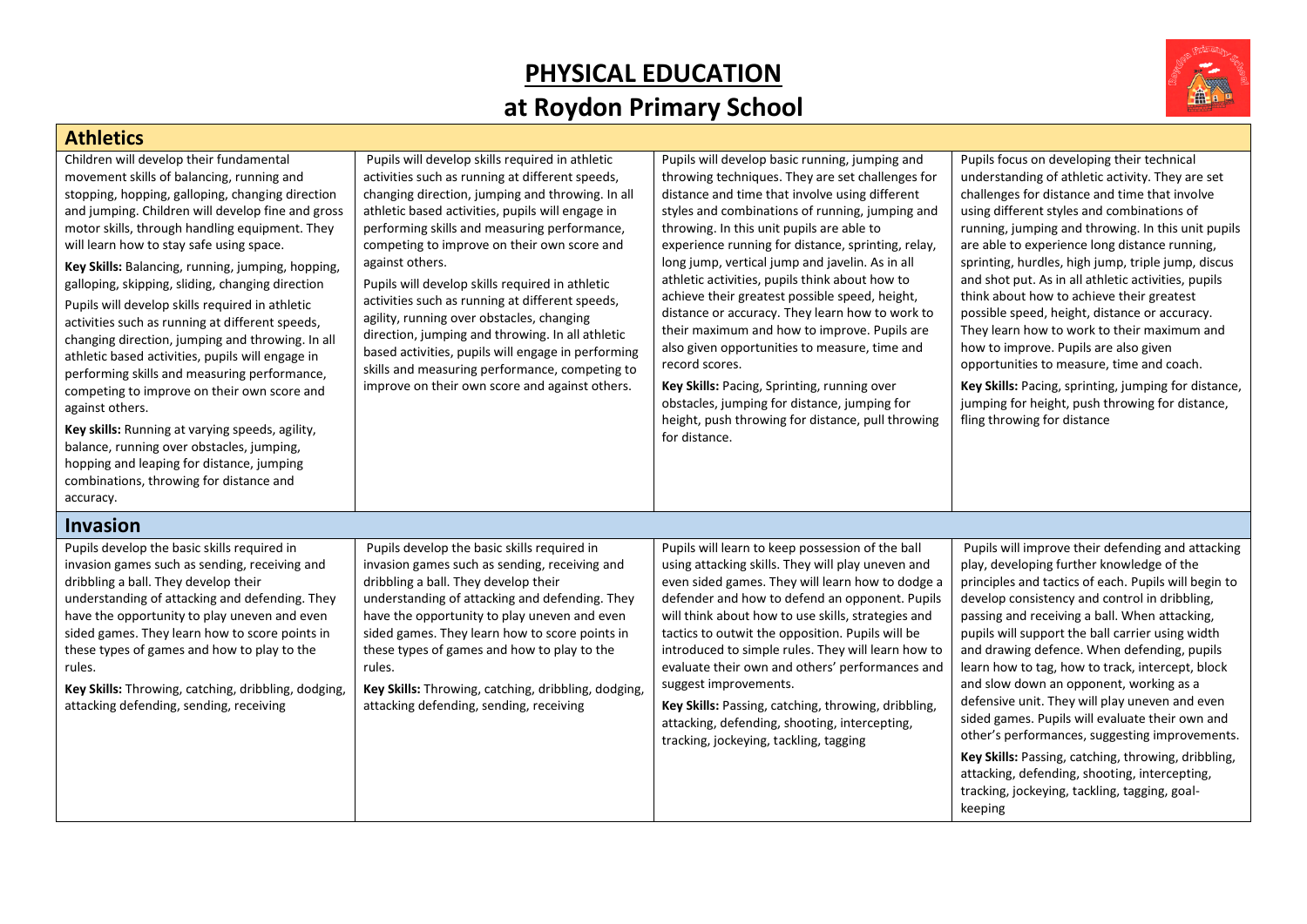## **PHYSICAL EDUCATION at Roydon Primary School**



| <b>Athletics</b>                                                                                                                                                                                                                                                                                                                                                                                                                                                                                                                                                                                                                                                                                                                                                                                                                                                                                                                          |                                                                                                                                                                                                                                                                                                                                                                                                                                                                                                                                                                                                                                                                                               |                                                                                                                                                                                                                                                                                                                                                                                                                                                                                                                                                                                                                                                                                                                                                                                                              |                                                                                                                                                                                                                                                                                                                                                                                                                                                                                                                                                                                                                                                                                                                                                                                                |
|-------------------------------------------------------------------------------------------------------------------------------------------------------------------------------------------------------------------------------------------------------------------------------------------------------------------------------------------------------------------------------------------------------------------------------------------------------------------------------------------------------------------------------------------------------------------------------------------------------------------------------------------------------------------------------------------------------------------------------------------------------------------------------------------------------------------------------------------------------------------------------------------------------------------------------------------|-----------------------------------------------------------------------------------------------------------------------------------------------------------------------------------------------------------------------------------------------------------------------------------------------------------------------------------------------------------------------------------------------------------------------------------------------------------------------------------------------------------------------------------------------------------------------------------------------------------------------------------------------------------------------------------------------|--------------------------------------------------------------------------------------------------------------------------------------------------------------------------------------------------------------------------------------------------------------------------------------------------------------------------------------------------------------------------------------------------------------------------------------------------------------------------------------------------------------------------------------------------------------------------------------------------------------------------------------------------------------------------------------------------------------------------------------------------------------------------------------------------------------|------------------------------------------------------------------------------------------------------------------------------------------------------------------------------------------------------------------------------------------------------------------------------------------------------------------------------------------------------------------------------------------------------------------------------------------------------------------------------------------------------------------------------------------------------------------------------------------------------------------------------------------------------------------------------------------------------------------------------------------------------------------------------------------------|
| Children will develop their fundamental<br>movement skills of balancing, running and<br>stopping, hopping, galloping, changing direction<br>and jumping. Children will develop fine and gross<br>motor skills, through handling equipment. They<br>will learn how to stay safe using space.<br>Key Skills: Balancing, running, jumping, hopping,<br>galloping, skipping, sliding, changing direction<br>Pupils will develop skills required in athletic<br>activities such as running at different speeds,<br>changing direction, jumping and throwing. In all<br>athletic based activities, pupils will engage in<br>performing skills and measuring performance,<br>competing to improve on their own score and<br>against others.<br>Key skills: Running at varying speeds, agility,<br>balance, running over obstacles, jumping,<br>hopping and leaping for distance, jumping<br>combinations, throwing for distance and<br>accuracy. | Pupils will develop skills required in athletic<br>activities such as running at different speeds,<br>changing direction, jumping and throwing. In all<br>athletic based activities, pupils will engage in<br>performing skills and measuring performance,<br>competing to improve on their own score and<br>against others.<br>Pupils will develop skills required in athletic<br>activities such as running at different speeds,<br>agility, running over obstacles, changing<br>direction, jumping and throwing. In all athletic<br>based activities, pupils will engage in performing<br>skills and measuring performance, competing to<br>improve on their own score and against others. | Pupils will develop basic running, jumping and<br>throwing techniques. They are set challenges for<br>distance and time that involve using different<br>styles and combinations of running, jumping and<br>throwing. In this unit pupils are able to<br>experience running for distance, sprinting, relay,<br>long jump, vertical jump and javelin. As in all<br>athletic activities, pupils think about how to<br>achieve their greatest possible speed, height,<br>distance or accuracy. They learn how to work to<br>their maximum and how to improve. Pupils are<br>also given opportunities to measure, time and<br>record scores.<br>Key Skills: Pacing, Sprinting, running over<br>obstacles, jumping for distance, jumping for<br>height, push throwing for distance, pull throwing<br>for distance. | Pupils focus on developing their technical<br>understanding of athletic activity. They are set<br>challenges for distance and time that involve<br>using different styles and combinations of<br>running, jumping and throwing. In this unit pupils<br>are able to experience long distance running,<br>sprinting, hurdles, high jump, triple jump, discus<br>and shot put. As in all athletic activities, pupils<br>think about how to achieve their greatest<br>possible speed, height, distance or accuracy.<br>They learn how to work to their maximum and<br>how to improve. Pupils are also given<br>opportunities to measure, time and coach.<br>Key Skills: Pacing, sprinting, jumping for distance,<br>jumping for height, push throwing for distance,<br>fling throwing for distance |
| <b>Invasion</b>                                                                                                                                                                                                                                                                                                                                                                                                                                                                                                                                                                                                                                                                                                                                                                                                                                                                                                                           |                                                                                                                                                                                                                                                                                                                                                                                                                                                                                                                                                                                                                                                                                               |                                                                                                                                                                                                                                                                                                                                                                                                                                                                                                                                                                                                                                                                                                                                                                                                              |                                                                                                                                                                                                                                                                                                                                                                                                                                                                                                                                                                                                                                                                                                                                                                                                |
| Pupils develop the basic skills required in<br>invasion games such as sending, receiving and<br>dribbling a ball. They develop their<br>understanding of attacking and defending. They<br>have the opportunity to play uneven and even<br>sided games. They learn how to score points in<br>these types of games and how to play to the<br>rules.<br>Key Skills: Throwing, catching, dribbling, dodging,<br>attacking defending, sending, receiving                                                                                                                                                                                                                                                                                                                                                                                                                                                                                       | Pupils develop the basic skills required in<br>invasion games such as sending, receiving and<br>dribbling a ball. They develop their<br>understanding of attacking and defending. They<br>have the opportunity to play uneven and even<br>sided games. They learn how to score points in<br>these types of games and how to play to the<br>rules.<br>Key Skills: Throwing, catching, dribbling, dodging,<br>attacking defending, sending, receiving                                                                                                                                                                                                                                           | Pupils will learn to keep possession of the ball<br>using attacking skills. They will play uneven and<br>even sided games. They will learn how to dodge a<br>defender and how to defend an opponent. Pupils<br>will think about how to use skills, strategies and<br>tactics to outwit the opposition. Pupils will be<br>introduced to simple rules. They will learn how to<br>evaluate their own and others' performances and<br>suggest improvements.<br>Key Skills: Passing, catching, throwing, dribbling,<br>attacking, defending, shooting, intercepting,<br>tracking, jockeying, tackling, tagging                                                                                                                                                                                                    | Pupils will improve their defending and attacking<br>play, developing further knowledge of the<br>principles and tactics of each. Pupils will begin to<br>develop consistency and control in dribbling,<br>passing and receiving a ball. When attacking,<br>pupils will support the ball carrier using width<br>and drawing defence. When defending, pupils<br>learn how to tag, how to track, intercept, block<br>and slow down an opponent, working as a<br>defensive unit. They will play uneven and even<br>sided games. Pupils will evaluate their own and<br>other's performances, suggesting improvements.<br>Key Skills: Passing, catching, throwing, dribbling,<br>attacking, defending, shooting, intercepting,<br>tracking, jockeying, tackling, tagging, goal-<br>keeping          |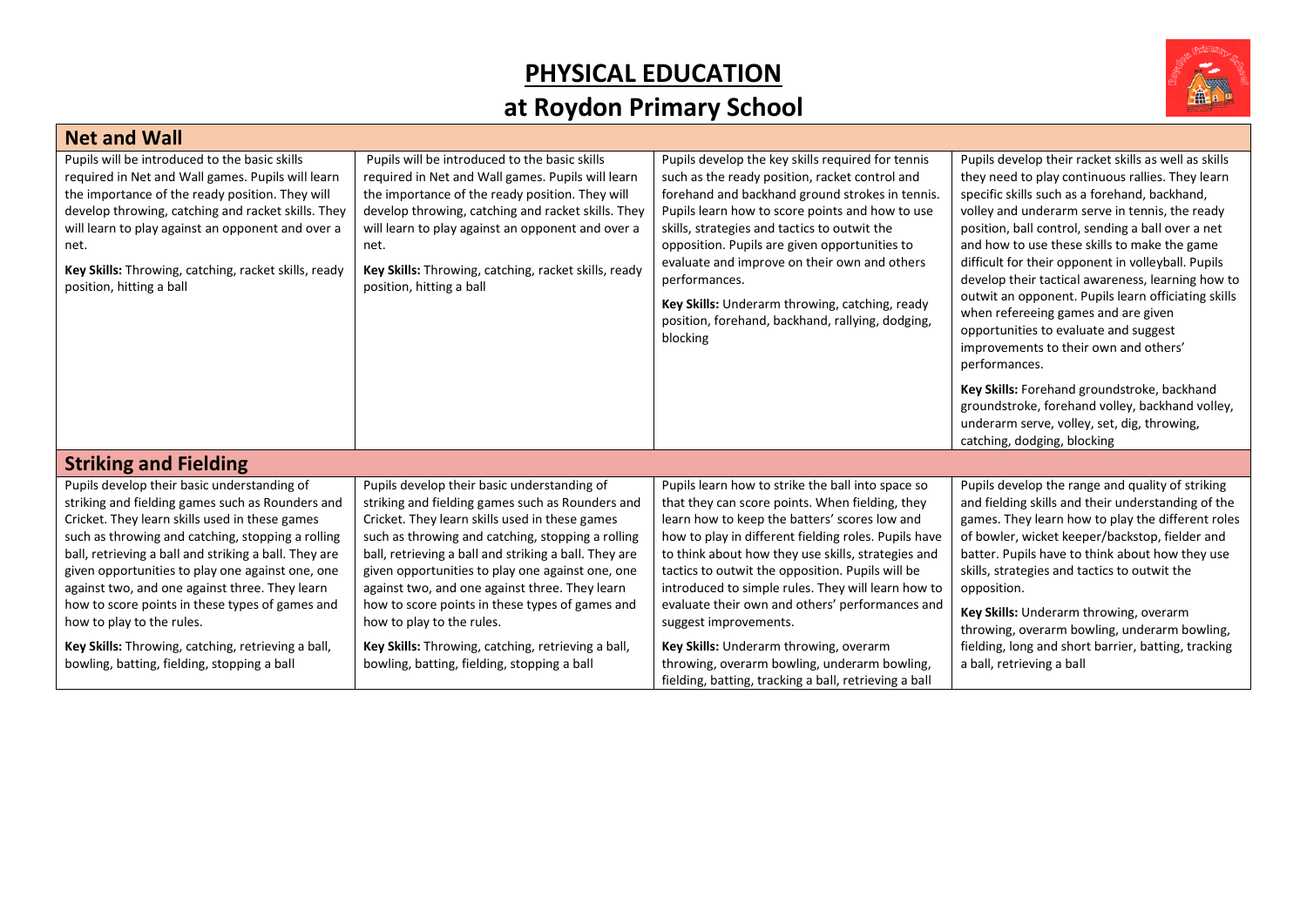## **PHYSICAL EDUCATION at Roydon Primary School**



| <b>Net and Wall</b>                                                                                                                                                                                                                                                                                                                                                                                                                                   |                                                                                                                                                                                                                                                                                                                                                                                                                                                       |                                                                                                                                                                                                                                                                                                                                                                                                                                                                                               |                                                                                                                                                                                                                                                                                                                                                                                                                                                                                                                                                                                                                                                                             |  |
|-------------------------------------------------------------------------------------------------------------------------------------------------------------------------------------------------------------------------------------------------------------------------------------------------------------------------------------------------------------------------------------------------------------------------------------------------------|-------------------------------------------------------------------------------------------------------------------------------------------------------------------------------------------------------------------------------------------------------------------------------------------------------------------------------------------------------------------------------------------------------------------------------------------------------|-----------------------------------------------------------------------------------------------------------------------------------------------------------------------------------------------------------------------------------------------------------------------------------------------------------------------------------------------------------------------------------------------------------------------------------------------------------------------------------------------|-----------------------------------------------------------------------------------------------------------------------------------------------------------------------------------------------------------------------------------------------------------------------------------------------------------------------------------------------------------------------------------------------------------------------------------------------------------------------------------------------------------------------------------------------------------------------------------------------------------------------------------------------------------------------------|--|
| Pupils will be introduced to the basic skills<br>required in Net and Wall games. Pupils will learn<br>the importance of the ready position. They will<br>develop throwing, catching and racket skills. They<br>will learn to play against an opponent and over a<br>net.<br>Key Skills: Throwing, catching, racket skills, ready<br>position, hitting a ball                                                                                          | Pupils will be introduced to the basic skills<br>required in Net and Wall games. Pupils will learn<br>the importance of the ready position. They will<br>develop throwing, catching and racket skills. They<br>will learn to play against an opponent and over a<br>net.<br>Key Skills: Throwing, catching, racket skills, ready<br>position, hitting a ball                                                                                          | Pupils develop the key skills required for tennis<br>such as the ready position, racket control and<br>forehand and backhand ground strokes in tennis.<br>Pupils learn how to score points and how to use<br>skills, strategies and tactics to outwit the<br>opposition. Pupils are given opportunities to<br>evaluate and improve on their own and others<br>performances.<br>Key Skills: Underarm throwing, catching, ready<br>position, forehand, backhand, rallying, dodging,<br>blocking | Pupils develop their racket skills as well as skills<br>they need to play continuous rallies. They learn<br>specific skills such as a forehand, backhand,<br>volley and underarm serve in tennis, the ready<br>position, ball control, sending a ball over a net<br>and how to use these skills to make the game<br>difficult for their opponent in volleyball. Pupils<br>develop their tactical awareness, learning how to<br>outwit an opponent. Pupils learn officiating skills<br>when refereeing games and are given<br>opportunities to evaluate and suggest<br>improvements to their own and others'<br>performances.<br>Key Skills: Forehand groundstroke, backhand |  |
|                                                                                                                                                                                                                                                                                                                                                                                                                                                       |                                                                                                                                                                                                                                                                                                                                                                                                                                                       |                                                                                                                                                                                                                                                                                                                                                                                                                                                                                               | groundstroke, forehand volley, backhand volley,<br>underarm serve, volley, set, dig, throwing,<br>catching, dodging, blocking                                                                                                                                                                                                                                                                                                                                                                                                                                                                                                                                               |  |
| <b>Striking and Fielding</b>                                                                                                                                                                                                                                                                                                                                                                                                                          |                                                                                                                                                                                                                                                                                                                                                                                                                                                       |                                                                                                                                                                                                                                                                                                                                                                                                                                                                                               |                                                                                                                                                                                                                                                                                                                                                                                                                                                                                                                                                                                                                                                                             |  |
| Pupils develop their basic understanding of<br>striking and fielding games such as Rounders and<br>Cricket. They learn skills used in these games<br>such as throwing and catching, stopping a rolling<br>ball, retrieving a ball and striking a ball. They are<br>given opportunities to play one against one, one<br>against two, and one against three. They learn<br>how to score points in these types of games and<br>how to play to the rules. | Pupils develop their basic understanding of<br>striking and fielding games such as Rounders and<br>Cricket. They learn skills used in these games<br>such as throwing and catching, stopping a rolling<br>ball, retrieving a ball and striking a ball. They are<br>given opportunities to play one against one, one<br>against two, and one against three. They learn<br>how to score points in these types of games and<br>how to play to the rules. | Pupils learn how to strike the ball into space so<br>that they can score points. When fielding, they<br>learn how to keep the batters' scores low and<br>how to play in different fielding roles. Pupils have<br>to think about how they use skills, strategies and<br>tactics to outwit the opposition. Pupils will be<br>introduced to simple rules. They will learn how to<br>evaluate their own and others' performances and<br>suggest improvements.                                     | Pupils develop the range and quality of striking<br>and fielding skills and their understanding of the<br>games. They learn how to play the different roles<br>of bowler, wicket keeper/backstop, fielder and<br>batter. Pupils have to think about how they use<br>skills, strategies and tactics to outwit the<br>opposition.<br>Key Skills: Underarm throwing, overarm<br>throwing, overarm bowling, underarm bowling,                                                                                                                                                                                                                                                   |  |
| Key Skills: Throwing, catching, retrieving a ball,<br>bowling, batting, fielding, stopping a ball                                                                                                                                                                                                                                                                                                                                                     | Key Skills: Throwing, catching, retrieving a ball,<br>bowling, batting, fielding, stopping a ball                                                                                                                                                                                                                                                                                                                                                     | Key Skills: Underarm throwing, overarm<br>throwing, overarm bowling, underarm bowling,<br>fielding, batting, tracking a ball, retrieving a ball                                                                                                                                                                                                                                                                                                                                               | fielding, long and short barrier, batting, tracking<br>a ball, retrieving a ball                                                                                                                                                                                                                                                                                                                                                                                                                                                                                                                                                                                            |  |